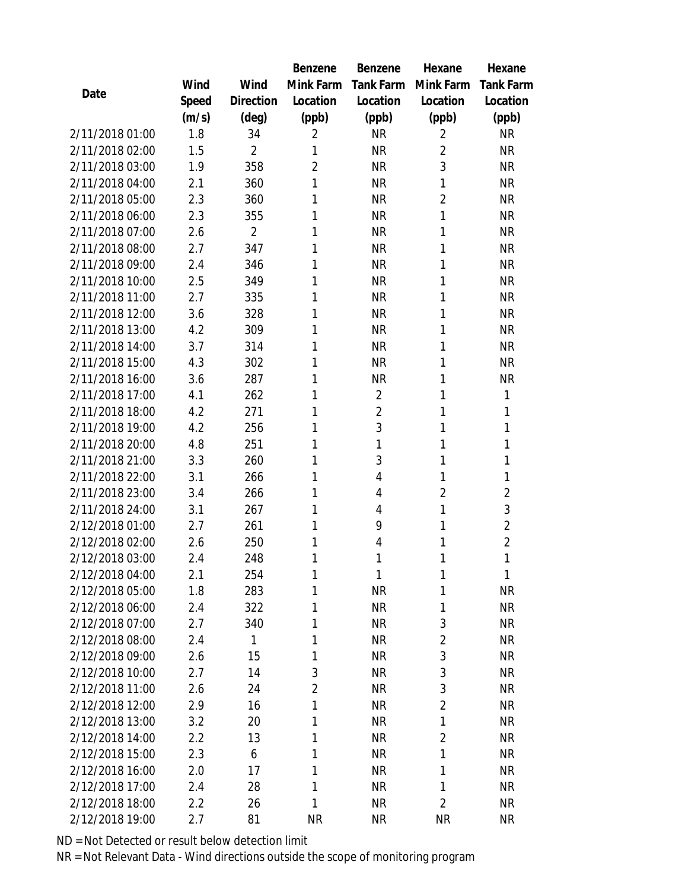|                 |       |                | Benzene        | <b>Benzene</b> | Hexane         | Hexane           |
|-----------------|-------|----------------|----------------|----------------|----------------|------------------|
|                 | Wind  | Wind           | Mink Farm      | Tank Farm      | Mink Farm      | <b>Tank Farm</b> |
| Date            | Speed | Direction      | Location       | Location       | Location       | Location         |
|                 | (m/s) | $(\text{deg})$ | (ppb)          | (ppb)          | (ppb)          | (ppb)            |
| 2/11/2018 01:00 | 1.8   | 34             | $\overline{2}$ | <b>NR</b>      | $\overline{2}$ | <b>NR</b>        |
| 2/11/2018 02:00 | 1.5   | $\overline{2}$ | 1              | <b>NR</b>      | $\overline{2}$ | <b>NR</b>        |
| 2/11/2018 03:00 | 1.9   | 358            | $\overline{2}$ | <b>NR</b>      | 3              | <b>NR</b>        |
| 2/11/2018 04:00 | 2.1   | 360            | 1              | <b>NR</b>      | 1              | <b>NR</b>        |
| 2/11/2018 05:00 | 2.3   | 360            | 1              | <b>NR</b>      | $\overline{2}$ | <b>NR</b>        |
| 2/11/2018 06:00 | 2.3   | 355            | 1              | <b>NR</b>      | 1              | <b>NR</b>        |
| 2/11/2018 07:00 | 2.6   | $\overline{2}$ | 1              | <b>NR</b>      | 1              | <b>NR</b>        |
| 2/11/2018 08:00 | 2.7   | 347            | 1              | <b>NR</b>      | 1              | <b>NR</b>        |
| 2/11/2018 09:00 | 2.4   | 346            | 1              | <b>NR</b>      | 1              | <b>NR</b>        |
| 2/11/2018 10:00 | 2.5   | 349            | 1              | <b>NR</b>      | 1              | <b>NR</b>        |
| 2/11/2018 11:00 | 2.7   | 335            | 1              | <b>NR</b>      | 1              | <b>NR</b>        |
| 2/11/2018 12:00 | 3.6   | 328            | 1              | <b>NR</b>      | 1              | <b>NR</b>        |
| 2/11/2018 13:00 | 4.2   | 309            | 1              | <b>NR</b>      | 1              | <b>NR</b>        |
| 2/11/2018 14:00 | 3.7   | 314            | 1              | <b>NR</b>      | 1              | <b>NR</b>        |
| 2/11/2018 15:00 | 4.3   | 302            | 1              | <b>NR</b>      | 1              | <b>NR</b>        |
| 2/11/2018 16:00 | 3.6   | 287            | 1              | <b>NR</b>      | 1              | <b>NR</b>        |
| 2/11/2018 17:00 | 4.1   | 262            | 1              | $\overline{2}$ | 1              | 1                |
| 2/11/2018 18:00 | 4.2   | 271            | 1              | $\overline{2}$ | 1              | 1                |
| 2/11/2018 19:00 | 4.2   | 256            | 1              | 3              | 1              | $\mathbf{1}$     |
| 2/11/2018 20:00 | 4.8   | 251            | 1              | 1              | 1              | 1                |
| 2/11/2018 21:00 | 3.3   | 260            | 1              | 3              | 1              | $\mathbf{1}$     |
| 2/11/2018 22:00 | 3.1   | 266            | 1              | 4              | 1              | 1                |
| 2/11/2018 23:00 | 3.4   | 266            | 1              | 4              | $\overline{2}$ | $\overline{2}$   |
| 2/11/2018 24:00 | 3.1   | 267            | 1              | 4              | 1              | 3                |
| 2/12/2018 01:00 | 2.7   | 261            | 1              | 9              | 1              | $\overline{2}$   |
| 2/12/2018 02:00 | 2.6   | 250            | 1              | 4              | 1              | $\overline{2}$   |
| 2/12/2018 03:00 | 2.4   | 248            | 1              | 1              | 1              | 1                |
| 2/12/2018 04:00 | 2.1   | 254            | 1              | $\mathbf{1}$   | 1              | 1                |
| 2/12/2018 05:00 | 1.8   | 283            | 1              | <b>NR</b>      | 1              | <b>NR</b>        |
| 2/12/2018 06:00 | 2.4   | 322            | 1              | <b>NR</b>      | 1              | <b>NR</b>        |
| 2/12/2018 07:00 | 2.7   | 340            | 1              | <b>NR</b>      | 3              | <b>NR</b>        |
| 2/12/2018 08:00 | 2.4   | 1              | 1              | <b>NR</b>      | $\overline{2}$ | <b>NR</b>        |
| 2/12/2018 09:00 | 2.6   | 15             | 1              | <b>NR</b>      | 3              | <b>NR</b>        |
| 2/12/2018 10:00 | 2.7   | 14             | 3              | <b>NR</b>      | 3              | <b>NR</b>        |
| 2/12/2018 11:00 | 2.6   | 24             | $\overline{2}$ | NR             | 3              | <b>NR</b>        |
| 2/12/2018 12:00 | 2.9   | 16             | 1              | <b>NR</b>      | $\overline{2}$ | <b>NR</b>        |
| 2/12/2018 13:00 | 3.2   | 20             | 1              | <b>NR</b>      | 1              | NR               |
| 2/12/2018 14:00 | 2.2   | 13             | 1              | <b>NR</b>      | $\overline{2}$ | <b>NR</b>        |
| 2/12/2018 15:00 | 2.3   | 6              | 1              | <b>NR</b>      | 1              | <b>NR</b>        |
| 2/12/2018 16:00 | 2.0   | 17             | 1              | <b>NR</b>      | 1              | NR               |
| 2/12/2018 17:00 | 2.4   | 28             | 1              | <b>NR</b>      | 1              | <b>NR</b>        |
| 2/12/2018 18:00 | 2.2   | 26             | 1              | <b>NR</b>      | $\overline{2}$ | NR               |
| 2/12/2018 19:00 | 2.7   | 81             | <b>NR</b>      | <b>NR</b>      | <b>NR</b>      | <b>NR</b>        |

ND = Not Detected or result below detection limit

NR = Not Relevant Data - Wind directions outside the scope of monitoring program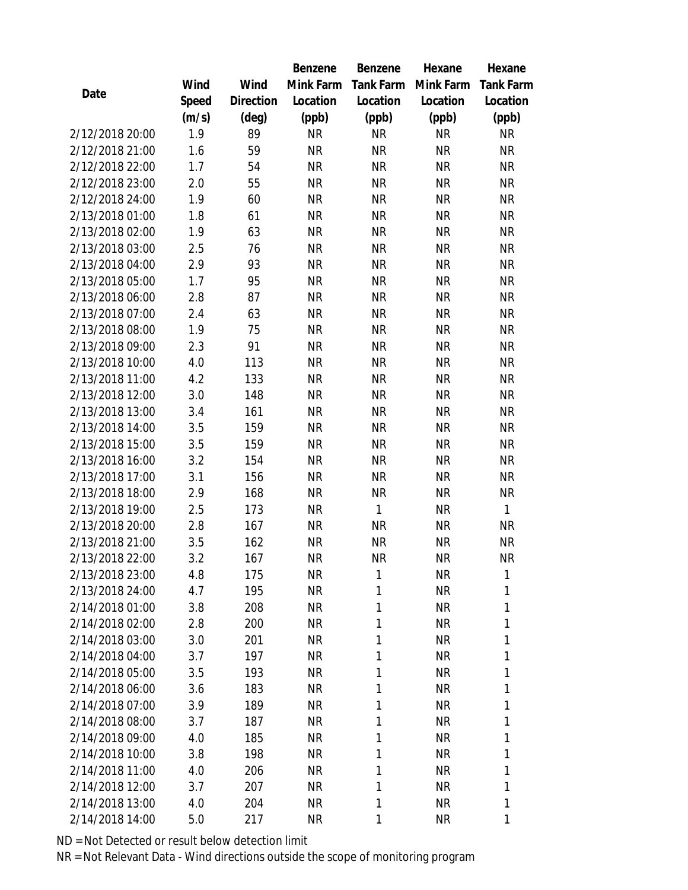|                                    |            |                | Benzene                | Benzene      | Hexane                 | Hexane            |  |
|------------------------------------|------------|----------------|------------------------|--------------|------------------------|-------------------|--|
|                                    | Wind       | Wind           | Mink Farm              | Tank Farm    | Mink Farm              | <b>Tank Farm</b>  |  |
| Date                               | Speed      | Direction      | Location               | Location     | Location               | Location          |  |
|                                    | (m/s)      | $(\text{deg})$ | (ppb)                  | (ppb)        | (ppb)                  | (ppb)             |  |
| 2/12/2018 20:00                    | 1.9        | 89             | <b>NR</b>              | <b>NR</b>    | <b>NR</b>              | <b>NR</b>         |  |
| 2/12/2018 21:00                    | 1.6        | 59             | <b>NR</b>              | <b>NR</b>    | <b>NR</b>              | <b>NR</b>         |  |
| 2/12/2018 22:00                    | 1.7        | 54             | <b>NR</b>              | <b>NR</b>    | <b>NR</b>              | <b>NR</b>         |  |
| 2/12/2018 23:00                    | 2.0        | 55             | <b>NR</b>              | <b>NR</b>    | <b>NR</b>              | <b>NR</b>         |  |
| 2/12/2018 24:00                    | 1.9        | 60             | <b>NR</b>              | <b>NR</b>    | <b>NR</b>              | <b>NR</b>         |  |
| 2/13/2018 01:00                    | 1.8        | 61             | <b>NR</b>              | <b>NR</b>    | <b>NR</b>              | <b>NR</b>         |  |
| 2/13/2018 02:00                    | 1.9        | 63             | <b>NR</b>              | <b>NR</b>    | <b>NR</b>              | <b>NR</b>         |  |
| 2/13/2018 03:00                    | 2.5        | 76             | <b>NR</b>              | <b>NR</b>    | <b>NR</b>              | <b>NR</b>         |  |
| 2/13/2018 04:00                    | 2.9        | 93             | <b>NR</b>              | <b>NR</b>    | <b>NR</b>              | <b>NR</b>         |  |
| 2/13/2018 05:00                    | 1.7        | 95             | <b>NR</b>              | <b>NR</b>    | <b>NR</b>              | <b>NR</b>         |  |
| 2/13/2018 06:00                    | 2.8        | 87             | <b>NR</b>              | <b>NR</b>    | <b>NR</b>              | <b>NR</b>         |  |
| 2/13/2018 07:00                    | 2.4        | 63             | <b>NR</b>              | <b>NR</b>    | <b>NR</b>              | <b>NR</b>         |  |
| 2/13/2018 08:00                    | 1.9        | 75             | <b>NR</b>              | <b>NR</b>    | <b>NR</b>              | <b>NR</b>         |  |
| 2/13/2018 09:00                    | 2.3        | 91             | <b>NR</b>              | <b>NR</b>    | <b>NR</b>              | <b>NR</b>         |  |
| 2/13/2018 10:00                    | 4.0        | 113            | <b>NR</b>              | <b>NR</b>    | <b>NR</b>              | <b>NR</b>         |  |
| 2/13/2018 11:00                    | 4.2        | 133            | <b>NR</b>              | <b>NR</b>    | <b>NR</b>              | <b>NR</b>         |  |
| 2/13/2018 12:00                    | 3.0        | 148            | <b>NR</b>              | <b>NR</b>    | <b>NR</b>              | NR                |  |
| 2/13/2018 13:00                    | 3.4        | 161            | <b>NR</b>              | <b>NR</b>    | <b>NR</b>              | <b>NR</b>         |  |
| 2/13/2018 14:00                    | 3.5        | 159            | <b>NR</b>              | <b>NR</b>    | <b>NR</b>              | <b>NR</b>         |  |
| 2/13/2018 15:00                    | 3.5        | 159            | <b>NR</b>              | <b>NR</b>    | <b>NR</b>              | <b>NR</b>         |  |
| 2/13/2018 16:00                    | 3.2        | 154            | NR                     | <b>NR</b>    | <b>NR</b>              | <b>NR</b>         |  |
| 2/13/2018 17:00                    | 3.1        | 156            | <b>NR</b>              | <b>NR</b>    | <b>NR</b>              | <b>NR</b>         |  |
| 2/13/2018 18:00                    | 2.9        | 168            | <b>NR</b>              | <b>NR</b>    | <b>NR</b>              | <b>NR</b>         |  |
| 2/13/2018 19:00                    | 2.5        | 173            | <b>NR</b>              | $\mathbf{1}$ | <b>NR</b>              | $\mathbf{1}$      |  |
| 2/13/2018 20:00                    | 2.8        | 167            | <b>NR</b>              | <b>NR</b>    | <b>NR</b>              | <b>NR</b>         |  |
| 2/13/2018 21:00                    | 3.5        | 162            | NR                     | <b>NR</b>    | <b>NR</b>              | <b>NR</b>         |  |
| 2/13/2018 22:00                    | 3.2        | 167            | <b>NR</b>              | <b>NR</b>    | <b>NR</b>              | <b>NR</b>         |  |
| 2/13/2018 23:00                    | 4.8        | 175            | <b>NR</b>              | 1            | NR                     | 1                 |  |
| 2/13/2018 24:00                    | 4.7        | 195            | <b>NR</b>              | 1            | <b>NR</b>              | 1                 |  |
| 2/14/2018 01:00                    | 3.8        | 208            | <b>NR</b>              | 1            | <b>NR</b>              | 1                 |  |
| 2/14/2018 02:00                    | 2.8        | 200            | <b>NR</b>              | 1            | <b>NR</b>              | 1                 |  |
| 2/14/2018 03:00<br>2/14/2018 04:00 | 3.0        | 201            | <b>NR</b>              | 1            | <b>NR</b>              | 1                 |  |
|                                    | 3.7        | 197            | <b>NR</b>              | 1            | <b>NR</b>              | 1                 |  |
| 2/14/2018 05:00                    | 3.5        | 193            | <b>NR</b>              | 1            | <b>NR</b>              | 1<br>1            |  |
| 2/14/2018 06:00                    | 3.6        | 183            | <b>NR</b>              | 1            | <b>NR</b>              | $\mathbf{1}$      |  |
| 2/14/2018 07:00                    | 3.9        | 189            | <b>NR</b>              | 1            | <b>NR</b>              |                   |  |
| 2/14/2018 08:00<br>2/14/2018 09:00 | 3.7        | 187            | <b>NR</b>              | 1            | <b>NR</b>              | $\mathbf{1}$      |  |
| 2/14/2018 10:00                    | 4.0        | 185            | <b>NR</b>              | 1<br>1       | <b>NR</b><br><b>NR</b> | 1<br>1            |  |
| 2/14/2018 11:00                    | 3.8        | 198            | <b>NR</b>              | 1            | <b>NR</b>              | 1                 |  |
| 2/14/2018 12:00                    | 4.0        | 206<br>207     | <b>NR</b>              | 1            | <b>NR</b>              |                   |  |
| 2/14/2018 13:00                    | 3.7<br>4.0 | 204            | <b>NR</b><br><b>NR</b> | $\mathbf{1}$ | <b>NR</b>              | 1<br>$\mathbf{1}$ |  |
| 2/14/2018 14:00                    |            |                |                        |              |                        | 1                 |  |
|                                    | 5.0        | 217            | <b>NR</b>              | 1            | <b>NR</b>              |                   |  |

ND = Not Detected or result below detection limit

NR = Not Relevant Data - Wind directions outside the scope of monitoring program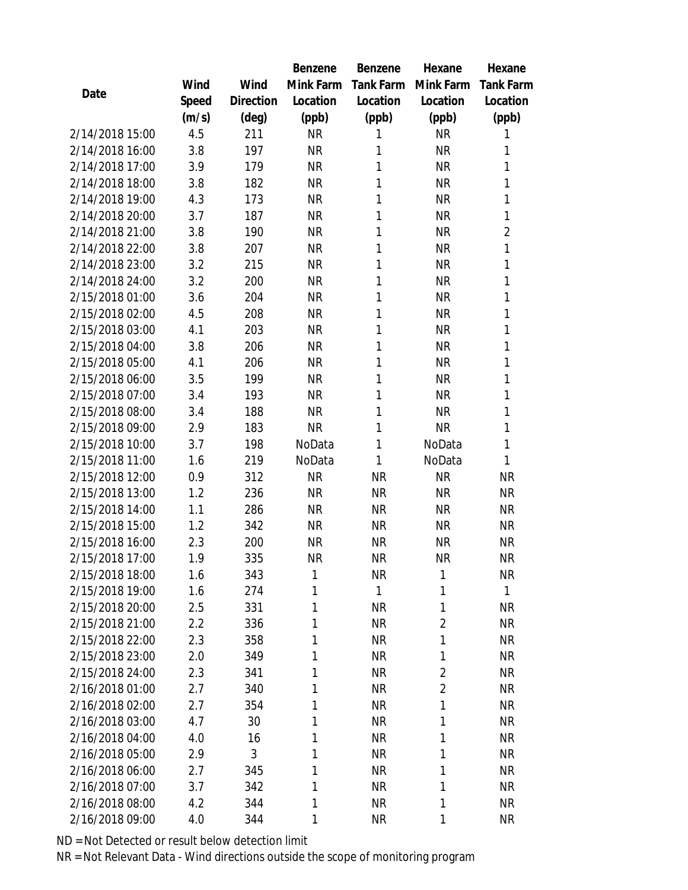|                 |       |           | Benzene   | Benzene          | Hexane         | Hexane           |
|-----------------|-------|-----------|-----------|------------------|----------------|------------------|
|                 | Wind  | Wind      | Mink Farm | <b>Tank Farm</b> | Mink Farm      | <b>Tank Farm</b> |
| Date            | Speed | Direction | Location  | Location         | Location       | Location         |
|                 | (m/s) | (deg)     | (ppb)     | (ppb)            | (ppb)          | (ppb)            |
| 2/14/2018 15:00 | 4.5   | 211       | <b>NR</b> | 1                | <b>NR</b>      | 1                |
| 2/14/2018 16:00 | 3.8   | 197       | <b>NR</b> | 1                | <b>NR</b>      | 1                |
| 2/14/2018 17:00 | 3.9   | 179       | <b>NR</b> | 1                | <b>NR</b>      | 1                |
| 2/14/2018 18:00 | 3.8   | 182       | <b>NR</b> | 1                | <b>NR</b>      | 1                |
| 2/14/2018 19:00 | 4.3   | 173       | <b>NR</b> | 1                | <b>NR</b>      | 1                |
| 2/14/2018 20:00 | 3.7   | 187       | <b>NR</b> | 1                | <b>NR</b>      | 1                |
| 2/14/2018 21:00 | 3.8   | 190       | <b>NR</b> | $\mathbf{1}$     | <b>NR</b>      | $\overline{2}$   |
| 2/14/2018 22:00 | 3.8   | 207       | <b>NR</b> | 1                | <b>NR</b>      | 1                |
| 2/14/2018 23:00 | 3.2   | 215       | <b>NR</b> | 1                | <b>NR</b>      | 1                |
| 2/14/2018 24:00 | 3.2   | 200       | <b>NR</b> | 1                | <b>NR</b>      | 1                |
| 2/15/2018 01:00 | 3.6   | 204       | <b>NR</b> | 1                | <b>NR</b>      | $\mathbf{1}$     |
| 2/15/2018 02:00 | 4.5   | 208       | <b>NR</b> | 1                | <b>NR</b>      | 1                |
| 2/15/2018 03:00 | 4.1   | 203       | <b>NR</b> | 1                | <b>NR</b>      | 1                |
| 2/15/2018 04:00 | 3.8   | 206       | <b>NR</b> | 1                | <b>NR</b>      | 1                |
| 2/15/2018 05:00 | 4.1   | 206       | <b>NR</b> | 1                | <b>NR</b>      | 1                |
| 2/15/2018 06:00 | 3.5   | 199       | <b>NR</b> | 1                | <b>NR</b>      | 1                |
| 2/15/2018 07:00 | 3.4   | 193       | <b>NR</b> | 1                | <b>NR</b>      | 1                |
| 2/15/2018 08:00 | 3.4   | 188       | <b>NR</b> | 1                | <b>NR</b>      | 1                |
| 2/15/2018 09:00 | 2.9   | 183       | <b>NR</b> | 1                | <b>NR</b>      | 1                |
| 2/15/2018 10:00 | 3.7   | 198       | NoData    | $\mathbf{1}$     | NoData         | 1                |
| 2/15/2018 11:00 | 1.6   | 219       | NoData    | $\mathbf{1}$     | NoData         | $\mathbf{1}$     |
| 2/15/2018 12:00 | 0.9   | 312       | <b>NR</b> | <b>NR</b>        | <b>NR</b>      | <b>NR</b>        |
| 2/15/2018 13:00 | 1.2   | 236       | <b>NR</b> | <b>NR</b>        | <b>NR</b>      | <b>NR</b>        |
| 2/15/2018 14:00 | 1.1   | 286       | <b>NR</b> | <b>NR</b>        | <b>NR</b>      | <b>NR</b>        |
| 2/15/2018 15:00 | 1.2   | 342       | <b>NR</b> | <b>NR</b>        | <b>NR</b>      | <b>NR</b>        |
| 2/15/2018 16:00 | 2.3   | 200       | <b>NR</b> | <b>NR</b>        | <b>NR</b>      | <b>NR</b>        |
| 2/15/2018 17:00 | 1.9   | 335       | <b>NR</b> | <b>NR</b>        | <b>NR</b>      | <b>NR</b>        |
| 2/15/2018 18:00 | 1.6   | 343       | 1         | <b>NR</b>        | 1              | <b>NR</b>        |
| 2/15/2018 19:00 | 1.6   | 274       | 1         | $\mathbf{1}$     | 1              | $\mathbf{1}$     |
| 2/15/2018 20:00 | 2.5   | 331       | 1         | <b>NR</b>        | 1              | NR               |
| 2/15/2018 21:00 | 2.2   | 336       | 1         | <b>NR</b>        | $\overline{2}$ | <b>NR</b>        |
| 2/15/2018 22:00 | 2.3   | 358       | 1         | <b>NR</b>        | 1              | <b>NR</b>        |
| 2/15/2018 23:00 | 2.0   | 349       | 1         | <b>NR</b>        | 1              | NR               |
| 2/15/2018 24:00 | 2.3   | 341       | 1         | <b>NR</b>        | $\overline{2}$ | <b>NR</b>        |
| 2/16/2018 01:00 | 2.7   | 340       | 1         | <b>NR</b>        | $\overline{2}$ | NR               |
| 2/16/2018 02:00 | 2.7   | 354       | 1         | <b>NR</b>        | 1              | <b>NR</b>        |
| 2/16/2018 03:00 | 4.7   | 30        | 1         | <b>NR</b>        | 1              | NR               |
| 2/16/2018 04:00 | 4.0   | 16        | 1         | <b>NR</b>        | 1              | <b>NR</b>        |
| 2/16/2018 05:00 | 2.9   | 3         | 1         | <b>NR</b>        | 1              | <b>NR</b>        |
| 2/16/2018 06:00 | 2.7   | 345       | 1         | <b>NR</b>        | 1              | NR               |
| 2/16/2018 07:00 | 3.7   | 342       | 1         | <b>NR</b>        | 1              | NR               |
| 2/16/2018 08:00 | 4.2   | 344       | 1         | NR               | 1              | NR               |
| 2/16/2018 09:00 | 4.0   | 344       | 1         | NR               | 1              | <b>NR</b>        |

ND = Not Detected or result below detection limit

NR = Not Relevant Data - Wind directions outside the scope of monitoring program